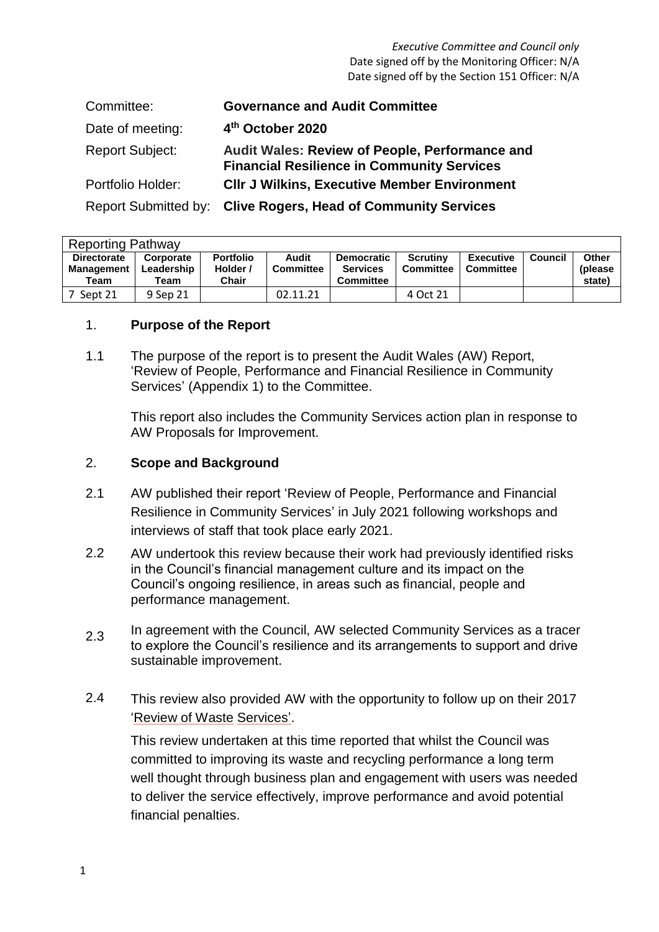*Executive Committee and Council only* Date signed off by the Monitoring Officer: N/A Date signed off by the Section 151 Officer: N/A

| Committee:             | <b>Governance and Audit Committee</b>                                                                      |
|------------------------|------------------------------------------------------------------------------------------------------------|
| Date of meeting:       | 4th October 2020                                                                                           |
| <b>Report Subject:</b> | <b>Audit Wales: Review of People, Performance and</b><br><b>Financial Resilience in Community Services</b> |
| Portfolio Holder:      | <b>CIIr J Wilkins, Executive Member Environment</b>                                                        |
|                        | Report Submitted by: Clive Rogers, Head of Community Services                                              |

| <b>Reporting Pathway</b>                        |                                 |                                              |                           |                                                          |                                     |                               |         |                            |  |  |
|-------------------------------------------------|---------------------------------|----------------------------------------------|---------------------------|----------------------------------------------------------|-------------------------------------|-------------------------------|---------|----------------------------|--|--|
| <b>Directorate</b><br><b>Management</b><br>Team | Corporate<br>Leadership<br>Team | <b>Portfolio</b><br>Holder /<br><b>Chair</b> | Audit<br><b>Committee</b> | <b>Democratic</b><br><b>Services</b><br><b>Committee</b> | <b>Scrutiny</b><br><b>Committee</b> | <b>Executive</b><br>Committee | Council | Other<br>(please<br>state) |  |  |
| Sept 21                                         | 9 Sep 21                        |                                              | 02.11.21                  |                                                          | 4 Oct 21                            |                               |         |                            |  |  |

## 1. **Purpose of the Report**

1.1 The purpose of the report is to present the Audit Wales (AW) Report, 'Review of People, Performance and Financial Resilience in Community Services' (Appendix 1) to the Committee.

This report also includes the Community Services action plan in response to AW Proposals for Improvement.

## 2. **Scope and Background**

- 2.1 AW published their report 'Review of People, Performance and Financial Resilience in Community Services' in July 2021 following workshops and interviews of staff that took place early 2021.
- 2.2 AW undertook this review because their work had previously identified risks in the Council's financial management culture and its impact on the Council's ongoing resilience, in areas such as financial, people and performance management.
- 2.3 In agreement with the Council, AW selected Community Services as a tracer to explore the Council's resilience and its arrangements to support and drive sustainable improvement.
- 2.4 This review also provided AW with the opportunity to follow up on their 2017 ['Review of Waste](http://democracy.blaenau-gwent.gov.uk/Data/Environment,%20Regeneration%20and%20Economic%20Development%20Scrutiny/201707240930/Agenda/att6749.pdf) [Services'.](http://democracy.blaenau-gwent.gov.uk/Data/Environment,%20Regeneration%20and%20Economic%20Development%20Scrutiny/201707240930/Agenda/att6749.pdf)

This review undertaken at this time reported that whilst the Council was committed to improving its waste and recycling performance a long term well thought through business plan and engagement with users was needed to deliver the service effectively, improve performance and avoid potential financial penalties.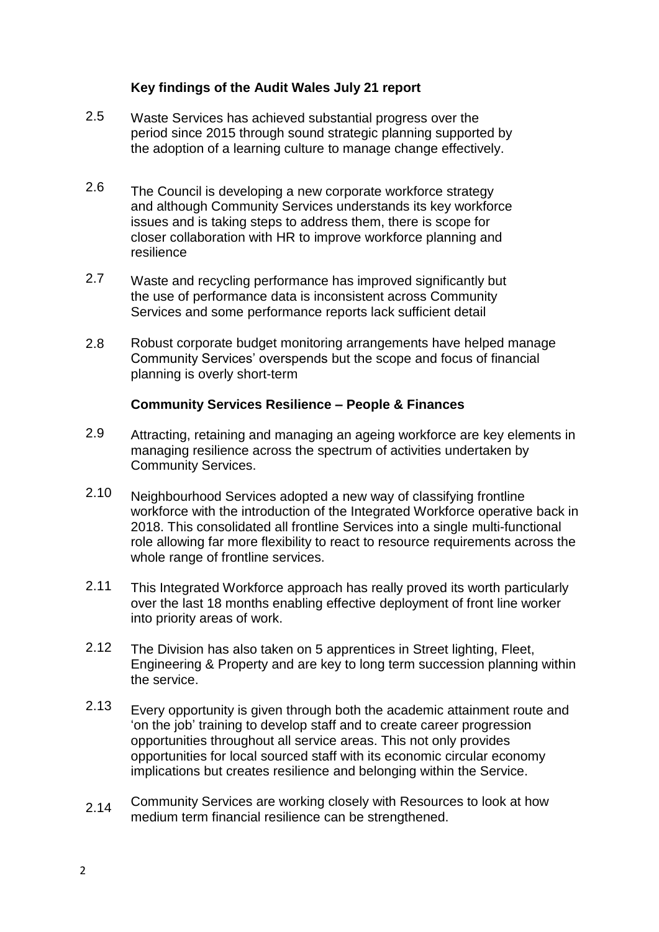# **Key findings of the Audit Wales July 21 report**

- 2.5 Waste Services has achieved substantial progress over the period since 2015 through sound strategic planning supported by the adoption of a learning culture to manage change effectively.
- 2.6 The Council is developing a new corporate workforce strategy and although Community Services understands its key workforce issues and is taking steps to address them, there is scope for closer collaboration with HR to improve workforce planning and resilience
- 2.7 Waste and recycling performance has improved significantly but the use of performance data is inconsistent across Community Services and some performance reports lack sufficient detail
- 2.8 Robust corporate budget monitoring arrangements have helped manage Community Services' overspends but the scope and focus of financial planning is overly short-term

## **Community Services Resilience – People & Finances**

- 2.9 Attracting, retaining and managing an ageing workforce are key elements in managing resilience across the spectrum of activities undertaken by Community Services.
- 2.10 Neighbourhood Services adopted a new way of classifying frontline workforce with the introduction of the Integrated Workforce operative back in 2018. This consolidated all frontline Services into a single multi-functional role allowing far more flexibility to react to resource requirements across the whole range of frontline services.
- 2.11 This Integrated Workforce approach has really proved its worth particularly over the last 18 months enabling effective deployment of front line worker into priority areas of work.
- 2.12 The Division has also taken on 5 apprentices in Street lighting, Fleet, Engineering & Property and are key to long term succession planning within the service.
- 2.13 Every opportunity is given through both the academic attainment route and 'on the job' training to develop staff and to create career progression opportunities throughout all service areas. This not only provides opportunities for local sourced staff with its economic circular economy implications but creates resilience and belonging within the Service.
- 2.14 Community Services are working closely with Resources to look at how medium term financial resilience can be strengthened.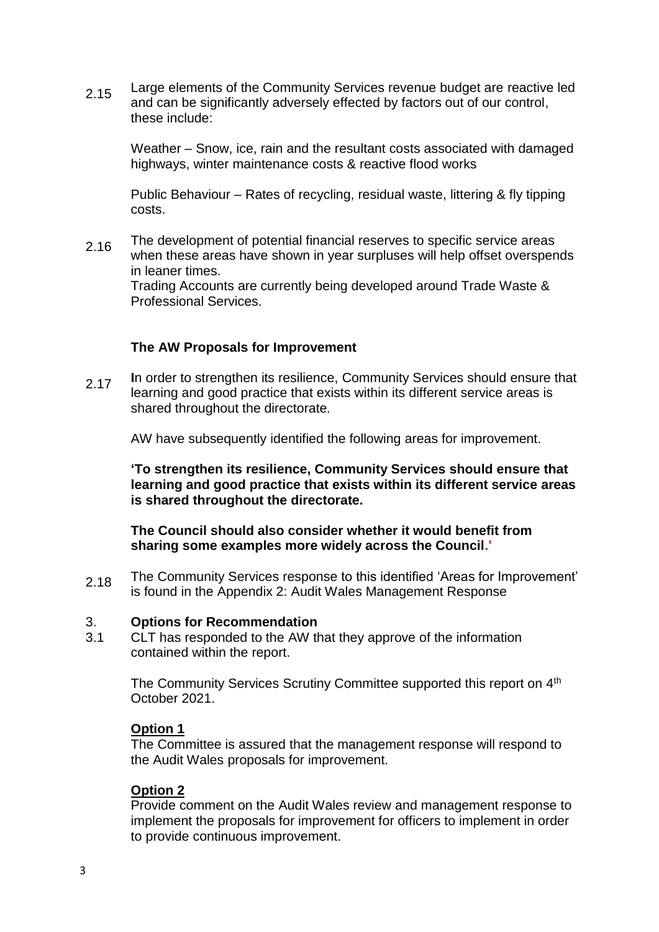2.15 Large elements of the Community Services revenue budget are reactive led and can be significantly adversely effected by factors out of our control, these include:

Weather – Snow, ice, rain and the resultant costs associated with damaged highways, winter maintenance costs & reactive flood works

Public Behaviour – Rates of recycling, residual waste, littering & fly tipping costs.

2.16 The development of potential financial reserves to specific service areas when these areas have shown in year surpluses will help offset overspends in leaner times. Trading Accounts are currently being developed around Trade Waste &

Professional Services.

## **The AW Proposals for Improvement**

2.17 **I**n order to strengthen its resilience, Community Services should ensure that learning and good practice that exists within its different service areas is shared throughout the directorate*.*

AW have subsequently identified the following areas for improvement.

**'To strengthen its resilience, Community Services should ensure that learning and good practice that exists within its different service areas is shared throughout the directorate.** 

**The Council should also consider whether it would benefit from sharing some examples more widely across the Council.'**

2.18 The Community Services response to this identified 'Areas for Improvement' is found in the Appendix 2: Audit Wales Management Response

#### 3. **Options for Recommendation**

3.1 CLT has responded to the AW that they approve of the information contained within the report.

> The Community Services Scrutiny Committee supported this report on 4<sup>th</sup> October 2021.

#### **Option 1**

The Committee is assured that the management response will respond to the Audit Wales proposals for improvement.

#### **Option 2**

Provide comment on the Audit Wales review and management response to implement the proposals for improvement for officers to implement in order to provide continuous improvement.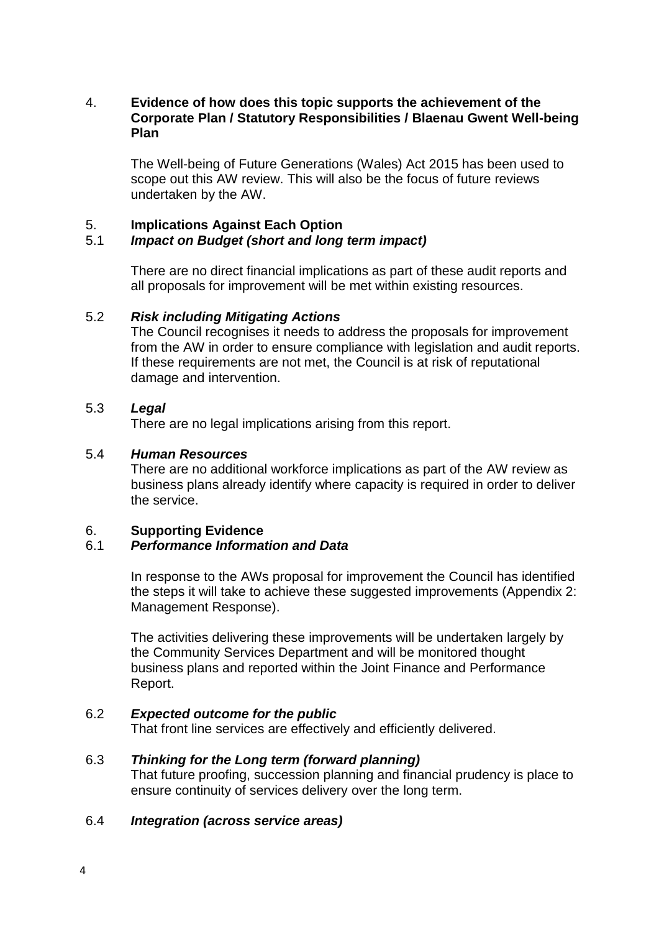## 4. **Evidence of how does this topic supports the achievement of the Corporate Plan / Statutory Responsibilities / Blaenau Gwent Well-being Plan**

The Well-being of Future Generations (Wales) Act 2015 has been used to scope out this AW review. This will also be the focus of future reviews undertaken by the AW.

## 5. **Implications Against Each Option**

## 5.1 *Impact on Budget (short and long term impact)*

There are no direct financial implications as part of these audit reports and all proposals for improvement will be met within existing resources.

## 5.2 *Risk including Mitigating Actions*

The Council recognises it needs to address the proposals for improvement from the AW in order to ensure compliance with legislation and audit reports. If these requirements are not met, the Council is at risk of reputational damage and intervention.

## 5.3 *Legal*

There are no legal implications arising from this report.

## 5.4 *Human Resources*

There are no additional workforce implications as part of the AW review as business plans already identify where capacity is required in order to deliver the service.

## 6. **Supporting Evidence**

## 6.1 *Performance Information and Data*

In response to the AWs proposal for improvement the Council has identified the steps it will take to achieve these suggested improvements (Appendix 2: Management Response).

The activities delivering these improvements will be undertaken largely by the Community Services Department and will be monitored thought business plans and reported within the Joint Finance and Performance Report.

#### 6.2 *Expected outcome for the public*

That front line services are effectively and efficiently delivered.

#### 6.3 *Thinking for the Long term (forward planning)*

That future proofing, succession planning and financial prudency is place to ensure continuity of services delivery over the long term.

#### 6.4 *Integration (across service areas)*